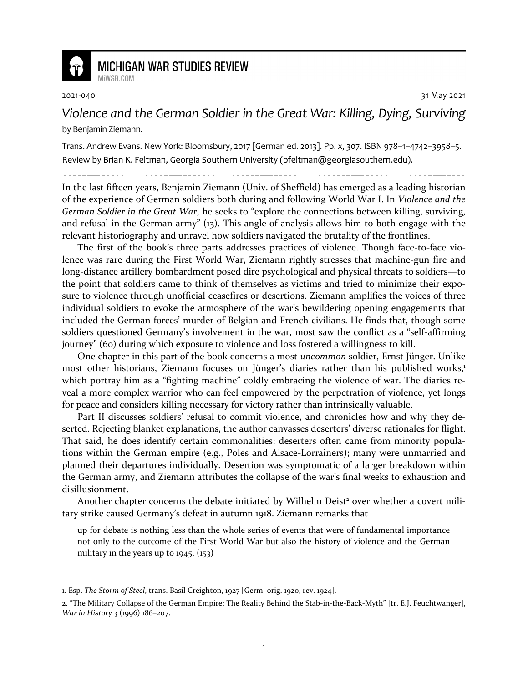

## **MICHIGAN WAR STUDIES REVIEW** MiWSR COM

2021-040 31 May 2021

*Violence and the German Soldier in the Great War: Killing, Dying, Surviving* by Benjamin Ziemann.

Trans. Andrew Evans. New York: Bloomsbury, 2017 [German ed. 2013]. Pp. x, 307. ISBN 978–1–4742–3958–5. Review by Brian K. Feltman, Georgia Southern University (bfeltman@georgiasouthern.edu).

In the last fifteen years, Benjamin Ziemann (Univ. of Sheffield) has emerged as a leading historian of the experience of German soldiers both during and following World War I. In *Violence and the German Soldier in the Great War*, he seeks to "explore the connections between killing, surviving, and refusal in the German army" (13). This angle of analysis allows him to both engage with the relevant historiography and unravel how soldiers navigated the brutality of the frontlines.

The first of the book's three parts addresses practices of violence. Though face-to-face violence was rare during the First World War, Ziemann rightly stresses that machine-gun fire and long-distance artillery bombardment posed dire psychological and physical threats to soldiers—to the point that soldiers came to think of themselves as victims and tried to minimize their exposure to violence through unofficial ceasefires or desertions. Ziemann amplifies the voices of three individual soldiers to evoke the atmosphere of the war's bewildering opening engagements that included the German forces' murder of Belgian and French civilians. He finds that, though some soldiers questioned Germany's involvement in the war, most saw the conflict as a "self-affirming journey" (60) during which exposure to violence and loss fostered a willingness to kill.

One chapter in this part of the book concerns a most *uncommon* soldier, Ernst Jünger. Unlike most other historians, Ziemann focuses on Jünger's diaries rather than his published works,<sup>1</sup> which portray him as a "fighting machine" coldly embracing the violence of war. The diaries reveal a more complex warrior who can feel empowered by the perpetration of violence, yet longs for peace and considers killing necessary for victory rather than intrinsically valuable.

Part II discusses soldiers' refusal to commit violence, and chronicles how and why they deserted. Rejecting blanket explanations, the author canvasses deserters' diverse rationales for flight. That said, he does identify certain commonalities: deserters often came from minority populations within the German empire (e.g., Poles and Alsace-Lorrainers); many were unmarried and planned their departures individually. Desertion was symptomatic of a larger breakdown within the German army, and Ziemann attributes the collapse of the war's final weeks to exhaustion and disillusionment.

Another chapter concerns the debate initiated by Wilhelm Deist<sup>2</sup> over whether a covert military strike caused Germany's defeat in autumn 1918. Ziemann remarks that

up for debate is nothing less than the whole series of events that were of fundamental importance not only to the outcome of the First World War but also the history of violence and the German military in the years up to 1945. (153)

<sup>1.</sup> Esp. *The Storm of Steel*, trans. Basil Creighton, 1927 [Germ. orig. 1920, rev. 1924].

<sup>2. &</sup>quot;The Military Collapse of the German Empire: The Reality Behind the Stab-in-the-Back-Myth" [tr. E.J. Feuchtwanger], *War in History* 3 (1996) 186–207.